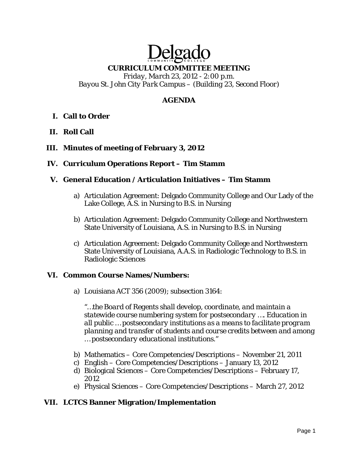# Delga **CURRICULUM COMMITTEE MEETING**

*Friday, March 23, 2012 - 2:00 p.m. Bayou St. John City Park Campus – (Building 23, Second Floor)* 

# **AGENDA**

- **I. Call to Order**
- **II. Roll Call**
- **III. Minutes of meeting of February 3, 2012**
- **IV. Curriculum Operations Report Tim Stamm**

## **V. General Education / Articulation Initiatives – Tim Stamm**

- a) Articulation Agreement: Delgado Community College and Our Lady of the Lake College, A.S. in Nursing to B.S. in Nursing
- b) Articulation Agreement: Delgado Community College and Northwestern State University of Louisiana, A.S. in Nursing to B.S. in Nursing
- c) Articulation Agreement: Delgado Community College and Northwestern State University of Louisiana, A.A.S. in Radiologic Technology to B.S. in Radiologic Sciences

## **VI. Common Course Names/Numbers:**

a) Louisiana ACT 356 (2009); subsection 3164:

*"…the Board of Regents shall develop, coordinate, and maintain a statewide course numbering system for postsecondary …. Education in all public … postsecondary institutions as a means to facilitate program planning and transfer of students and course credits between and among … postsecondary educational institutions."* 

- b) Mathematics Core Competencies/Descriptions November 21, 2011
- c) English Core Competencies/Descriptions January 13, 2012
- d) Biological Sciences Core Competencies/Descriptions February 17, 2012
- e) Physical Sciences Core Competencies/Descriptions March 27, 2012

## **VII. LCTCS Banner Migration/Implementation**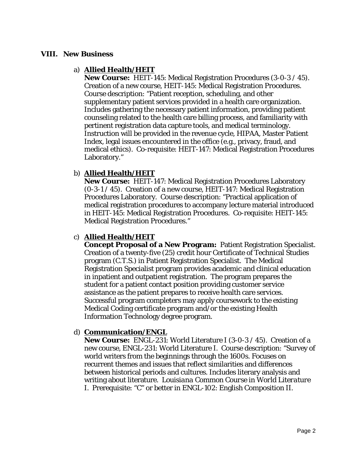#### **VIII. New Business**

#### a) **Allied Health/HEIT**

**New Course:** HEIT-145: Medical Registration Procedures (3-0-3 / 45). Creation of a new course, HEIT-145: Medical Registration Procedures. Course description: "Patient reception, scheduling, and other supplementary patient services provided in a health care organization. Includes gathering the necessary patient information, providing patient counseling related to the health care billing process, and familiarity with pertinent registration data capture tools, and medical terminology. Instruction will be provided in the revenue cycle, HIPAA, Master Patient Index, legal issues encountered in the office (e.g., privacy, fraud, and medical ethics). Co-requisite: HEIT-147: Medical Registration Procedures Laboratory."

## b) **Allied Health/HEIT**

**New Course:** HEIT-147: Medical Registration Procedures Laboratory (0-3-1 / 45). Creation of a new course, HEIT-147: Medical Registration Procedures Laboratory. Course description: "Practical application of medical registration procedures to accompany lecture material introduced in HEIT-145: Medical Registration Procedures. Co-requisite: HEIT-145: Medical Registration Procedures."

## c) **Allied Health/HEIT**

**Concept Proposal of a New Program:** Patient Registration Specialist. Creation of a twenty-five (25) credit hour Certificate of Technical Studies program (C.T.S.) in Patient Registration Specialist. The Medical Registration Specialist program provides academic and clinical education in inpatient and outpatient registration. The program prepares the student for a patient contact position providing customer service assistance as the patient prepares to receive health care services. Successful program completers may apply coursework to the existing Medical Coding certificate program and/or the existing Health Information Technology degree program.

## d) **Communication/ENGL**

**New Course:** ENGL-231: World Literature I (3-0-3 / 45). Creation of a new course, ENGL-231: World Literature I. Course description: "Survey of world writers from the beginnings through the 1600s. Focuses on recurrent themes and issues that reflect similarities and differences between historical periods and cultures. Includes literary analysis and writing about literature. *Louisiana Common Course in World Literature I*. Prerequisite: "C" or better in ENGL-102: English Composition II.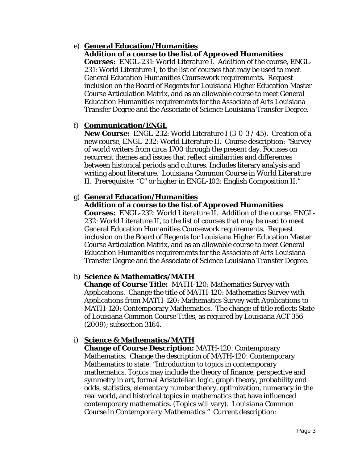## e) **General Education/Humanities**

# **Addition of a course to the list of Approved Humanities**

**Courses:** ENGL-231: World Literature I. Addition of the course, ENGL-231: World Literature I, to the list of courses that may be used to meet General Education Humanities Coursework requirements. Request inclusion on the Board of Regents for Louisiana Higher Education Master Course Articulation Matrix, and as an allowable course to meet General Education Humanities requirements for the Associate of Arts Louisiana Transfer Degree and the Associate of Science Louisiana Transfer Degree.

## f) **Communication/ENGL**

**New Course:** ENGL-232: World Literature I (3-0-3 / 45). Creation of a new course, ENGL-232: World Literature II. Course description: "Survey of world writers from circa 1700 through the present day. Focuses on recurrent themes and issues that reflect similarities and differences between historical periods and cultures. Includes literary analysis and writing about literature. *Louisiana Common Course in World Literature II.* Prerequisite: "C" or higher in ENGL-102: English Composition II."

## g) **General Education/Humanities**

# **Addition of a course to the list of Approved Humanities**

**Courses:** ENGL-232: World Literature II. Addition of the course, ENGL-232: World Literature II, to the list of courses that may be used to meet General Education Humanities Coursework requirements. Request inclusion on the Board of Regents for Louisiana Higher Education Master Course Articulation Matrix, and as an allowable course to meet General Education Humanities requirements for the Associate of Arts Louisiana Transfer Degree and the Associate of Science Louisiana Transfer Degree.

# h) **Science & Mathematics/MATH**

**Change of Course Title:** MATH-120: Mathematics Survey with Applications. Change the title of MATH-120: Mathematics Survey with Applications *from* MATH-120: Mathematics Survey with Applications *to* MATH-120: Contemporary Mathematics. The change of title reflects State of Louisiana Common Course Titles, as required by Louisiana ACT 356 (2009); subsection 3164.

# i) **Science & Mathematics/MATH**

**Change of Course Description:** MATH-120: Contemporary Mathematics. Change the description of MATH-120: Contemporary Mathematics to state: "Introduction to topics in contemporary mathematics. Topics may include the theory of finance, perspective and symmetry in art, formal Aristotelian logic, graph theory, probability and odds, statistics, elementary number theory, optimization, numeracy in the real world, and historical topics in mathematics that have influenced contemporary mathematics. (Topics will vary). *Louisiana Common Course in Contemporary Mathematics.*" Current description: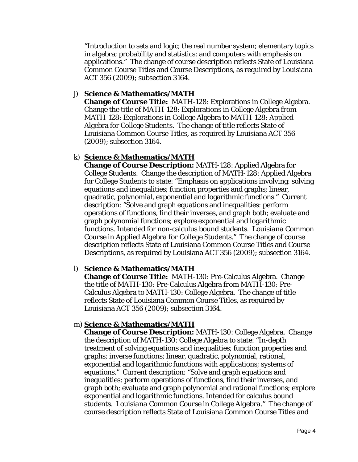"Introduction to sets and logic; the real number system; elementary topics in algebra; probability and statistics; and computers with emphasis on applications." The change of course description reflects State of Louisiana Common Course Titles and Course Descriptions, as required by Louisiana ACT 356 (2009); subsection 3164.

## j) **Science & Mathematics/MATH**

**Change of Course Title:** MATH-128: Explorations in College Algebra. Change the title of MATH-128: Explorations in College Algebra *from*  MATH-128: Explorations in College Algebra *to* MATH-128: Applied Algebra for College Students. The change of title reflects State of Louisiana Common Course Titles, as required by Louisiana ACT 356 (2009); subsection 3164.

# k) **Science & Mathematics/MATH**

**Change of Course Description:** MATH-128: Applied Algebra for College Students. Change the description of MATH-128: Applied Algebra for College Students to state: "Emphasis on applications involving: solving equations and inequalities; function properties and graphs; linear, quadratic, polynomial, exponential and logarithmic functions." Current description: "Solve and graph equations and inequalities: perform operations of functions, find their inverses, and graph both; evaluate and graph polynomial functions; explore exponential and logarithmic functions. Intended for non-calculus bound students. *Louisiana Common Course in Applied Algebra for College Students.*" The change of course description reflects State of Louisiana Common Course Titles and Course Descriptions, as required by Louisiana ACT 356 (2009); subsection 3164.

# l) **Science & Mathematics/MATH**

**Change of Course Title:** MATH-130: Pre-Calculus Algebra. Change the title of MATH-130: Pre-Calculus Algebra *from* MATH-130: Pre-Calculus Algebra *to* MATH-130: College Algebra. The change of title reflects State of Louisiana Common Course Titles, as required by Louisiana ACT 356 (2009); subsection 3164.

## m) **Science & Mathematics/MATH**

**Change of Course Description:** MATH-130: College Algebra. Change the description of MATH-130: College Algebra to state: "In-depth treatment of solving equations and inequalities; function properties and graphs; inverse functions; linear, quadratic, polynomial, rational, exponential and logarithmic functions with applications; systems of equations." Current description: "Solve and graph equations and inequalities: perform operations of functions, find their inverses, and graph both; evaluate and graph polynomial and rational functions; explore exponential and logarithmic functions. Intended for calculus bound students. *Louisiana Common Course in College Algebra.*" The change of course description reflects State of Louisiana Common Course Titles and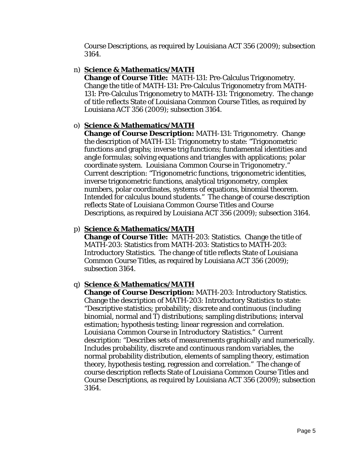Course Descriptions, as required by Louisiana ACT 356 (2009); subsection 3164.

## n) **Science & Mathematics/MATH**

**Change of Course Title:** MATH-131: Pre-Calculus Trigonometry. Change the title of MATH-131: Pre-Calculus Trigonometry *from* MATH-131: Pre-Calculus Trigonometry *to* MATH-131: Trigonometry. The change of title reflects State of Louisiana Common Course Titles, as required by Louisiana ACT 356 (2009); subsection 3164.

## o) **Science & Mathematics/MATH**

**Change of Course Description:** MATH-131: Trigonometry. Change the description of MATH-131: Trigonometry to state: "Trigonometric functions and graphs; inverse trig functions; fundamental identities and angle formulas; solving equations and triangles with applications; polar coordinate system. *Louisiana Common Course in Trigonometry.*" Current description: "Trigonometric functions, trigonometric identities, inverse trigonometric functions, analytical trigonometry, complex numbers, polar coordinates, systems of equations, binomial theorem. Intended for calculus bound students." The change of course description reflects State of Louisiana Common Course Titles and Course Descriptions, as required by Louisiana ACT 356 (2009); subsection 3164.

## p) **Science & Mathematics/MATH**

**Change of Course Title:** MATH-203: Statistics. Change the title of MATH-203: Statistics *from* MATH-203: Statistics *to* MATH-203: Introductory Statistics. The change of title reflects State of Louisiana Common Course Titles, as required by Louisiana ACT 356 (2009); subsection 3164.

## q) **Science & Mathematics/MATH**

**Change of Course Description:** MATH-203: Introductory Statistics. Change the description of MATH-203: Introductory Statistics to state: "Descriptive statistics; probability; discrete and continuous (including binomial, normal and T) distributions; sampling distributions; interval estimation; hypothesis testing; linear regression and correlation. *Louisiana Common Course in Introductory Statistics.*" Current description: "Describes sets of measurements graphically and numerically. Includes probability, discrete and continuous random variables, the normal probability distribution, elements of sampling theory, estimation theory, hypothesis testing, regression and correlation." The change of course description reflects State of Louisiana Common Course Titles and Course Descriptions, as required by Louisiana ACT 356 (2009); subsection 3164.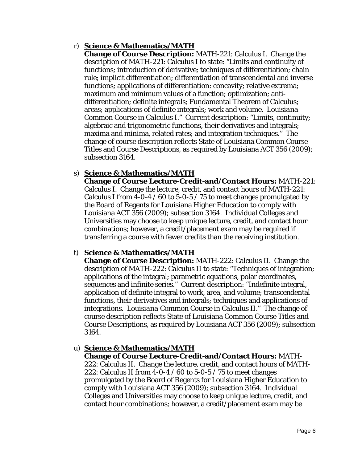## r) **Science & Mathematics/MATH**

**Change of Course Description:** MATH-221: Calculus I. Change the description of MATH-221: Calculus I to state: "Limits and continuity of functions; introduction of derivative; techniques of differentiation; chain rule; implicit differentiation; differentiation of transcendental and inverse functions; applications of differentiation: concavity; relative extrema; maximum and minimum values of a function; optimization; antidifferentiation; definite integrals; Fundamental Theorem of Calculus; areas; applications of definite integrals; work and volume. *Louisiana Common Course in Calculus I.*" Current description: "Limits, continuity; algebraic and trigonometric functions, their derivatives and integrals; maxima and minima, related rates; and integration techniques." The change of course description reflects State of Louisiana Common Course Titles and Course Descriptions, as required by Louisiana ACT 356 (2009); subsection 3164.

## s) **Science & Mathematics/MATH**

**Change of Course Lecture-Credit-and/Contact Hours:** MATH-221: Calculus I. Change the lecture, credit, and contact hours of MATH-221: Calculus I *from* 4-0-4 / 60 *to* 5-0-5 / 75 to meet changes promulgated by the Board of Regents for Louisiana Higher Education to comply with Louisiana ACT 356 (2009); subsection 3164. Individual Colleges and Universities may choose to keep unique lecture, credit, and contact hour combinations; however, a credit/placement exam may be required if transferring a course with fewer credits than the receiving institution.

## t) **Science & Mathematics/MATH**

**Change of Course Description:** MATH-222: Calculus II. Change the description of MATH-222: Calculus II to state: "Techniques of integration; applications of the integral; parametric equations, polar coordinates, sequences and infinite series." Current description: "Indefinite integral, application of definite integral to work, area, and volume; transcendental functions, their derivatives and integrals; techniques and applications of integrations. *Louisiana Common Course in Calculus II.*" The change of course description reflects State of Louisiana Common Course Titles and Course Descriptions, as required by Louisiana ACT 356 (2009); subsection 3164.

## u) **Science & Mathematics/MATH**

**Change of Course Lecture-Credit-and/Contact Hours:** MATH-222: Calculus II. Change the lecture, credit, and contact hours of MATH-222: Calculus II *from* 4-0-4 / 60 *to* 5-0-5 / 75 to meet changes promulgated by the Board of Regents for Louisiana Higher Education to comply with Louisiana ACT 356 (2009); subsection 3164. Individual Colleges and Universities may choose to keep unique lecture, credit, and contact hour combinations; however, a credit/placement exam may be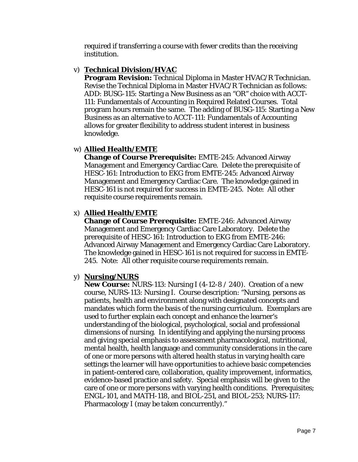required if transferring a course with fewer credits than the receiving institution.

## v) **Technical Division/HVAC**

**Program Revision:** Technical Diploma in Master HVAC/R Technician. Revise the Technical Diploma in Master HVAC/R Technician as follows: ADD: BUSG-115: Starting a New Business as an "OR" choice with ACCT-111: Fundamentals of Accounting in Required Related Courses. Total program hours remain the same. The adding of BUSG-115: Starting a New Business as an alternative to ACCT-111: Fundamentals of Accounting allows for greater flexibility to address student interest in business knowledge.

## w) **Allied Health/EMTE**

**Change of Course Prerequisite:** EMTE-245: Advanced Airway Management and Emergency Cardiac Care. Delete the prerequisite of HESC-161: Introduction to EKG from EMTE-245: Advanced Airway Management and Emergency Cardiac Care. The knowledge gained in HESC-161 is not required for success in EMTE-245. Note: All other requisite course requirements remain.

# x) **Allied Health/EMTE**

**Change of Course Prerequisite:** EMTE-246: Advanced Airway Management and Emergency Cardiac Care Laboratory. Delete the prerequisite of HESC-161: Introduction to EKG from EMTE-246: Advanced Airway Management and Emergency Cardiac Care Laboratory. The knowledge gained in HESC-161 is not required for success in EMTE-245. Note: All other requisite course requirements remain.

## y) **Nursing/NURS**

**New Course:** NURS-113: Nursing I (4-12-8 / 240). Creation of a new course, NURS-113: Nursing I. Course description: "Nursing, persons as patients, health and environment along with designated concepts and mandates which form the basis of the nursing curriculum. Exemplars are used to further explain each concept and enhance the learner's understanding of the biological, psychological, social and professional dimensions of nursing. In identifying and applying the nursing process and giving special emphasis to assessment pharmacological, nutritional, mental health, health language and community considerations in the care of one or more persons with altered health status in varying health care settings the learner will have opportunities to achieve basic competencies in patient-centered care, collaboration, quality improvement, informatics, evidence-based practice and safety. Special emphasis will be given to the care of one or more persons with varying health conditions. Prerequisites; ENGL-101, and MATH-118, and BIOL-251, and BIOL-253; NURS-117: Pharmacology I (may be taken concurrently)."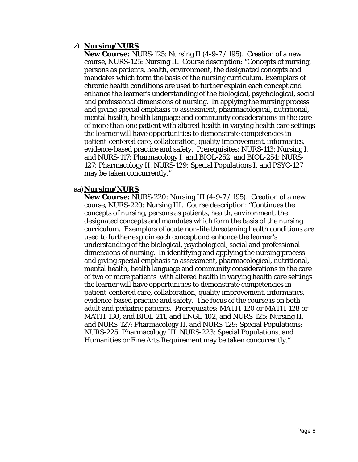#### z) **Nursing/NURS**

**New Course:** NURS-125: Nursing II (4-9-7 / 195). Creation of a new course, NURS-125: Nursing II. Course description: "Concepts of nursing, persons as patients, health, environment, the designated concepts and mandates which form the basis of the nursing curriculum. Exemplars of chronic health conditions are used to further explain each concept and enhance the learner's understanding of the biological, psychological, social and professional dimensions of nursing. In applying the nursing process and giving special emphasis to assessment, pharmacological, nutritional, mental health, health language and community considerations in the care of more than one patient with altered health in varying health care settings the learner will have opportunities to demonstrate competencies in patient-centered care, collaboration, quality improvement, informatics, evidence-based practice and safety. Prerequisites: NURS-113: Nursing I, and NURS-117: Pharmacology I, and BIOL-252, and BIOL-254; NURS-127: Pharmacology II, NURS-129: Special Populations I, and PSYC-127 may be taken concurrently."

#### aa)**Nursing/NURS**

**New Course:** NURS-220: Nursing III (4-9-7 / 195). Creation of a new course, NURS-220: Nursing III. Course description: "Continues the concepts of nursing, persons as patients, health, environment, the designated concepts and mandates which form the basis of the nursing curriculum. Exemplars of acute non-life threatening health conditions are used to further explain each concept and enhance the learner's understanding of the biological, psychological, social and professional dimensions of nursing. In identifying and applying the nursing process and giving special emphasis to assessment, pharmacological, nutritional, mental health, health language and community considerations in the care of two or more patients with altered health in varying health care settings the learner will have opportunities to demonstrate competencies in patient-centered care, collaboration, quality improvement, informatics, evidence-based practice and safety. The focus of the course is on both adult and pediatric patients. Prerequisites: MATH-120 or MATH-128 or MATH-130, and BIOL-211, and ENGL-102, and NURS-125: Nursing II, and NURS-127: Pharmacology II, and NURS-129: Special Populations; NURS-225: Pharmacology III, NURS-223: Special Populations, and Humanities or Fine Arts Requirement may be taken concurrently."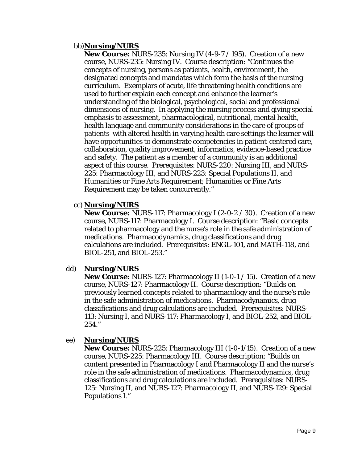#### bb)**Nursing/NURS**

**New Course:** NURS-235: Nursing IV (4-9-7 / 195). Creation of a new course, NURS-235: Nursing IV. Course description: "Continues the concepts of nursing, persons as patients, health, environment, the designated concepts and mandates which form the basis of the nursing curriculum. Exemplars of acute, life threatening health conditions are used to further explain each concept and enhance the learner's understanding of the biological, psychological, social and professional dimensions of nursing. In applying the nursing process and giving special emphasis to assessment, pharmacological, nutritional, mental health, health language and community considerations in the care of groups of patients with altered health in varying health care settings the learner will have opportunities to demonstrate competencies in patient-centered care, collaboration, quality improvement, informatics, evidence-based practice and safety. The patient as a member of a community is an additional aspect of this course. Prerequisites: NURS-220: Nursing III, and NURS-225: Pharmacology III, and NURS-223: Special Populations II, and Humanities or Fine Arts Requirement; Humanities or Fine Arts Requirement may be taken concurrently."

#### cc) **Nursing/NURS**

**New Course:** NURS-117: Pharmacology I (2-0-2 / 30). Creation of a new course, NURS-117: Pharmacology I. Course description: "Basic concepts related to pharmacology and the nurse's role in the safe administration of medications. Pharmacodynamics, drug classifications and drug calculations are included. Prerequisites: ENGL-101, and MATH-118, and BIOL-251, and BIOL-253."

## dd) **Nursing/NURS**

**New Course:** NURS-127: Pharmacology II (1-0-1 / 15). Creation of a new course, NURS-127: Pharmacology II. Course description: "Builds on previously learned concepts related to pharmacology and the nurse's role in the safe administration of medications. Pharmacodynamics, drug classifications and drug calculations are included. Prerequisites: NURS-113: Nursing I, and NURS-117: Pharmacology I, and BIOL-252, and BIOL-254."

#### ee) **Nursing/NURS**

**New Course:** NURS-225: Pharmacology III (1-0-1/15). Creation of a new course, NURS-225: Pharmacology III. Course description: "Builds on content presented in Pharmacology I and Pharmacology II and the nurse's role in the safe administration of medications. Pharmacodynamics, drug classifications and drug calculations are included. Prerequisites: NURS-125: Nursing II, and NURS-127: Pharmacology II, and NURS-129: Special Populations I."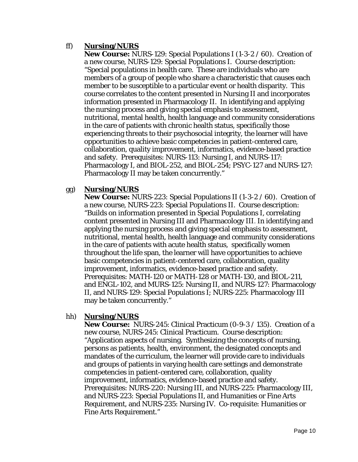## ff) **Nursing/NURS**

**New Course:** NURS-129: Special Populations I (1-3-2 / 60). Creation of a new course, NURS-129: Special Populations I. Course description: "Special populations in health care. These are individuals who are members of a group of people who share a characteristic that causes each member to be susceptible to a particular event or health disparity. This course correlates to the content presented in Nursing II and incorporates information presented in Pharmacology II. In identifying and applying the nursing process and giving special emphasis to assessment, nutritional, mental health, health language and community considerations in the care of patients with chronic health status, specifically those experiencing threats to their psychosocial integrity, the learner will have opportunities to achieve basic competencies in patient-centered care, collaboration, quality improvement, informatics, evidence-based practice and safety. Prerequisites: NURS-113: Nursing I, and NURS-117: Pharmacology I, and BIOL-252, and BIOL-254; PSYC-127 and NURS-127: Pharmacology II may be taken concurrently."

## gg) **Nursing/NURS**

**New Course:** NURS-223: Special Populations II (1-3-2 / 60). Creation of a new course, NURS-223: Special Populations II. Course description: "Builds on information presented in Special Populations I, correlating content presented in Nursing III and Pharmacology III. In identifying and applying the nursing process and giving special emphasis to assessment, nutritional, mental health, health language and community considerations in the care of patients with acute health status, specifically women throughout the life span, the learner will have opportunities to achieve basic competencies in patient-centered care, collaboration, quality improvement, informatics, evidence-based practice and safety. Prerequisites: MATH-120 or MATH-128 or MATH-130, and BIOL-211, and ENGL-102, and MURS-125: Nursing II, and NURS-127: Pharmacology II, and NURS-129: Special Populations I; NURS-225: Pharmacology III may be taken concurrently."

## hh) **Nursing/NURS**

**New Course:** NURS-245: Clinical Practicum (0-9-3 / 135). Creation of a new course, NURS-245: Clinical Practicum. Course description: "Application aspects of nursing. Synthesizing the concepts of nursing, persons as patients, health, environment, the designated concepts and mandates of the curriculum, the learner will provide care to individuals and groups of patients in varying health care settings and demonstrate competencies in patient-centered care, collaboration, quality improvement, informatics, evidence-based practice and safety. Prerequisites: NURS-220: Nursing III, and NURS-225: Pharmacology III, and NURS-223: Special Populations II, and Humanities or Fine Arts Requirement, and NURS-235: Nursing IV. Co-requisite: Humanities or Fine Arts Requirement."